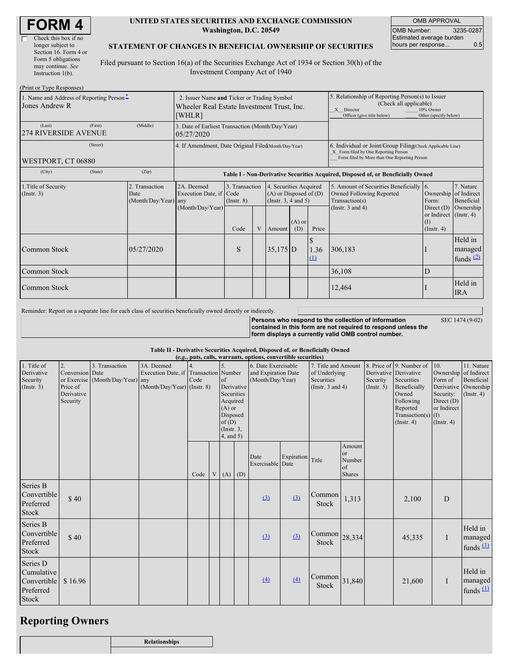| <b>FORM4</b> |
|--------------|
|--------------|

 $\overline{\Gamma}$ 

| Check this box if no  |
|-----------------------|
| longer subject to     |
| Section 16. Form 4 or |
| Form 5 obligations    |
| may continue. See     |
| Instruction $1(b)$ .  |
|                       |

#### **UNITED STATES SECURITIES AND EXCHANGE COMMISSION Washington, D.C. 20549**

OMB APPROVAL OMB Number: 3235-0287 Estimated average burden hours per response... 0.5

### **STATEMENT OF CHANGES IN BENEFICIAL OWNERSHIP OF SECURITIES**

Filed pursuant to Section 16(a) of the Securities Exchange Act of 1934 or Section 30(h) of the Investment Company Act of 1940

| (Print or Type Responses)                                  |         |                                            |                                                                                                     |                                                  |              |            |                                                                                  |                                                                                  |                                                                                                                                                              |                                                                   |                                                  |  |
|------------------------------------------------------------|---------|--------------------------------------------|-----------------------------------------------------------------------------------------------------|--------------------------------------------------|--------------|------------|----------------------------------------------------------------------------------|----------------------------------------------------------------------------------|--------------------------------------------------------------------------------------------------------------------------------------------------------------|-------------------------------------------------------------------|--------------------------------------------------|--|
| 1. Name and Address of Reporting Person-<br>Jones Andrew R |         |                                            | 2. Issuer Name and Ticker or Trading Symbol<br>Wheeler Real Estate Investment Trust, Inc.<br>[WHLR] |                                                  |              |            |                                                                                  |                                                                                  | 5. Relationship of Reporting Person(s) to Issuer<br>(Check all applicable)<br>10% Owner<br>X Director<br>Officer (give title below)<br>Other (specify below) |                                                                   |                                                  |  |
| (Last)<br><b>274 RIVERSIDE AVENUE</b>                      | (First) | (Middle)                                   | 05/27/2020                                                                                          | 3. Date of Earliest Transaction (Month/Day/Year) |              |            |                                                                                  |                                                                                  |                                                                                                                                                              |                                                                   |                                                  |  |
| (Street)<br>WESTPORT, CT 06880                             |         |                                            | 4. If Amendment, Date Original Filed(Month/Day/Year)                                                |                                                  |              |            |                                                                                  |                                                                                  | 6. Individual or Joint/Group Filing(Check Applicable Line)<br>X Form filed by One Reporting Person<br>Form filed by More than One Reporting Person           |                                                                   |                                                  |  |
| (City)                                                     | (State) | (Zip)                                      |                                                                                                     |                                                  |              |            |                                                                                  | Table I - Non-Derivative Securities Acquired, Disposed of, or Beneficially Owned |                                                                                                                                                              |                                                                   |                                                  |  |
| 1. Title of Security<br>(Insert. 3)                        |         | 2. Transaction<br>Date<br>(Month/Day/Year) | 2A. Deemed<br>Execution Date, if Code<br>any                                                        | 3. Transaction<br>$($ Instr. $8)$                |              |            | 4. Securities Acquired<br>$(A)$ or Disposed of $(D)$<br>(Instr. $3, 4$ and $5$ ) |                                                                                  | 5. Amount of Securities Beneficially 6.<br>Owned Following Reported<br>Transaction(s)<br>Form:                                                               |                                                                   | 7. Nature<br>Ownership of Indirect<br>Beneficial |  |
|                                                            |         |                                            | (Month/Day/Year)                                                                                    | Code                                             | $\mathbf{V}$ | Amount     | $(A)$ or<br>(D)                                                                  | Price                                                                            | (Instr. $3$ and $4$ )                                                                                                                                        | Direct $(D)$<br>or Indirect (Instr. 4)<br>(I)<br>$($ Instr. 4 $)$ | Ownership                                        |  |
| Common Stock                                               |         | 05/27/2020                                 |                                                                                                     | S                                                |              | $35,175$ D |                                                                                  | S<br>1.36<br>(1)                                                                 | 306,183                                                                                                                                                      |                                                                   | Held in<br>managed<br>funds $(2)$                |  |
| Common Stock                                               |         |                                            |                                                                                                     |                                                  |              |            |                                                                                  |                                                                                  | 36,108                                                                                                                                                       | D                                                                 |                                                  |  |
| Common Stock                                               |         |                                            |                                                                                                     |                                                  |              |            |                                                                                  |                                                                                  | 12,464                                                                                                                                                       |                                                                   | Held in<br><b>IRA</b>                            |  |

Reminder: Report on a separate line for each class of securities beneficially owned directly or indirectly.

**Persons who respond to the collection of information contained in this form are not required to respond unless the form displays a currently valid OMB control number.**

SEC 1474 (9-02)

**Table II - Derivative Securities Acquired, Disposed of, or Beneficially Owned**

| (e.g., puts, calls, warrants, options, convertible securities)     |                                                             |                                                    |                                                                   |                            |  |                                                                                                |            |                          |                                                                                                                                               |                                                                    |                                                  |                                                                                                                                 |                                                                                                       |                                                                      |                                   |
|--------------------------------------------------------------------|-------------------------------------------------------------|----------------------------------------------------|-------------------------------------------------------------------|----------------------------|--|------------------------------------------------------------------------------------------------|------------|--------------------------|-----------------------------------------------------------------------------------------------------------------------------------------------|--------------------------------------------------------------------|--------------------------------------------------|---------------------------------------------------------------------------------------------------------------------------------|-------------------------------------------------------------------------------------------------------|----------------------------------------------------------------------|-----------------------------------|
| 1. Title of<br>Derivative<br>Security<br>(Insert. 3)               | 2.<br>Conversion Date<br>Price of<br>Derivative<br>Security | 3. Transaction<br>or Exercise (Month/Day/Year) any | 3A. Deemed<br>Execution Date, if<br>$(Month/Day/Year)$ (Instr. 8) | Transaction Number<br>Code |  | of<br>Securities<br>Acquired<br>$(A)$ or<br>Disposed<br>of(D)<br>$($ Instr. $3$ ,<br>4, and 5) | Derivative |                          | 7. Title and Amount<br>6. Date Exercisable<br>and Expiration Date<br>of Underlying<br>Securities<br>(Month/Day/Year)<br>(Instr. $3$ and $4$ ) |                                                                    | Derivative Derivative<br>Security<br>(Insert. 5) | 8. Price of 9. Number of<br>Securities<br>Beneficially<br>Owned<br>Following<br>Reported<br>Transaction(s) $(I)$<br>(Insert. 4) | 10.<br>Ownership of Indirect<br>Form of<br>Security:<br>Direct (D)<br>or Indirect<br>$($ Instr. 4 $)$ | 11. Nature<br>Beneficial<br>Derivative Ownership<br>$($ Instr. 4 $)$ |                                   |
|                                                                    |                                                             |                                                    |                                                                   | Code                       |  | $V(A)$ (D)                                                                                     |            | Date<br>Exercisable Date | Expiration Title                                                                                                                              |                                                                    | Amount<br>or<br>Number<br>of<br><b>Shares</b>    |                                                                                                                                 |                                                                                                       |                                                                      |                                   |
| Series B<br>Convertible<br>Preferred<br>Stock                      | \$40                                                        |                                                    |                                                                   |                            |  |                                                                                                |            | $\Omega$                 | (3)                                                                                                                                           | Common<br>Stock                                                    | 1,313                                            |                                                                                                                                 | 2,100                                                                                                 | ${\bf D}$                                                            |                                   |
| Series B<br>Convertible<br>Preferred<br><b>Stock</b>               | \$40                                                        |                                                    |                                                                   |                            |  |                                                                                                |            | (3)                      | (3)                                                                                                                                           | $\lfloor$ Common $\rfloor$ <sub>28,334</sub><br>Stock              |                                                  |                                                                                                                                 | 45,335                                                                                                | $\mathbf I$                                                          | Held in<br>managed<br>funds $(1)$ |
| Series D<br>Cumulative<br>Convertible<br>Preferred<br><b>Stock</b> | \$16.96                                                     |                                                    |                                                                   |                            |  |                                                                                                |            | (4)                      | $\Delta$                                                                                                                                      | $\begin{array}{c c}\n\text{Common} & 31,840\n\end{array}$<br>Stock |                                                  |                                                                                                                                 | 21,600                                                                                                | $\mathbf I$                                                          | Held in<br>managed<br>funds $(1)$ |

# **Reporting Owners**

| <b>Relationships</b> |
|----------------------|
|                      |